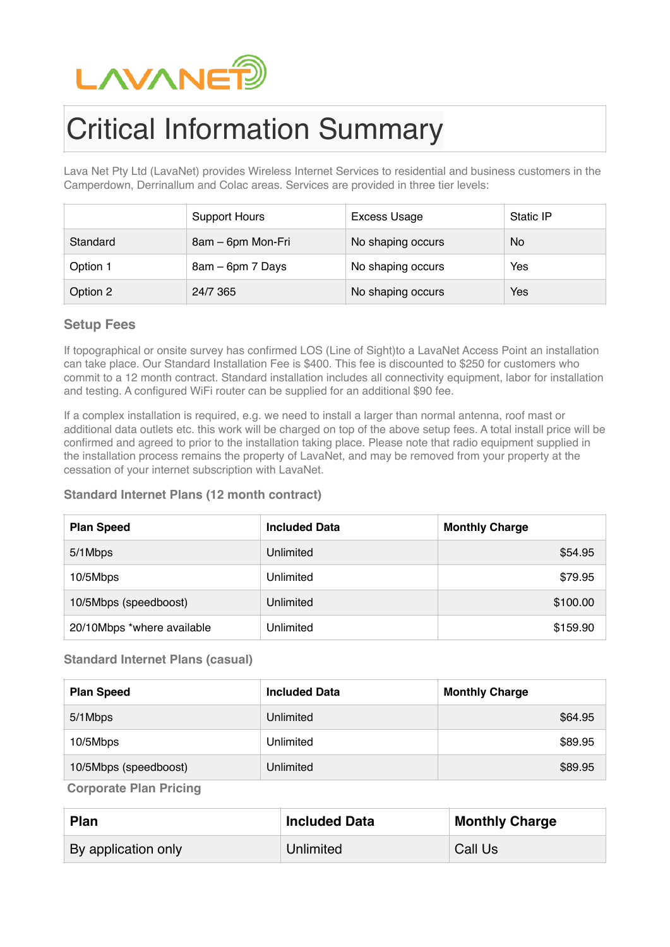

# Critical Information Summary

Lava Net Pty Ltd (LavaNet) provides Wireless Internet Services to residential and business customers in the Camperdown, Derrinallum and Colac areas. Services are provided in three tier levels:

|          | <b>Support Hours</b> | Excess Usage      | Static IP |
|----------|----------------------|-------------------|-----------|
| Standard | 8am – 6pm Mon-Fri    | No shaping occurs | <b>No</b> |
| Option 1 | 8am – 6pm 7 Days     | No shaping occurs | Yes       |
| Option 2 | 24/7 365             | No shaping occurs | Yes       |

### **Setup Fees**

If topographical or onsite survey has confirmed LOS (Line of Sight)to a LavaNet Access Point an installation can take place. Our Standard Installation Fee is \$400. This fee is discounted to \$250 for customers who commit to a 12 month contract. Standard installation includes all connectivity equipment, labor for installation and testing. A configured WiFi router can be supplied for an additional \$90 fee.

If a complex installation is required, e.g. we need to install a larger than normal antenna, roof mast or additional data outlets etc. this work will be charged on top of the above setup fees. A total install price will be confirmed and agreed to prior to the installation taking place. Please note that radio equipment supplied in the installation process remains the property of LavaNet, and may be removed from your property at the cessation of your internet subscription with LavaNet.

#### **Standard Internet Plans (12 month contract)**

| <b>Plan Speed</b>          | <b>Included Data</b> | <b>Monthly Charge</b> |
|----------------------------|----------------------|-----------------------|
| 5/1Mbps                    | Unlimited            | \$54.95               |
| 10/5Mbps                   | Unlimited            | \$79.95               |
| 10/5Mbps (speedboost)      | Unlimited            | \$100.00              |
| 20/10Mbps *where available | Unlimited            | \$159.90              |

#### **Standard Internet Plans (casual)**

| <b>Plan Speed</b>     | <b>Included Data</b> | <b>Monthly Charge</b> |
|-----------------------|----------------------|-----------------------|
| 5/1Mbps               | Unlimited            | \$64.95               |
| 10/5Mbps              | Unlimited            | \$89.95               |
| 10/5Mbps (speedboost) | Unlimited            | \$89.95               |
| ___                   |                      |                       |

**Corporate Plan Pricing**

| <b>Plan</b>         | <b>Included Data</b> | <b>Monthly Charge</b> |
|---------------------|----------------------|-----------------------|
| By application only | Unlimited            | Call Us               |